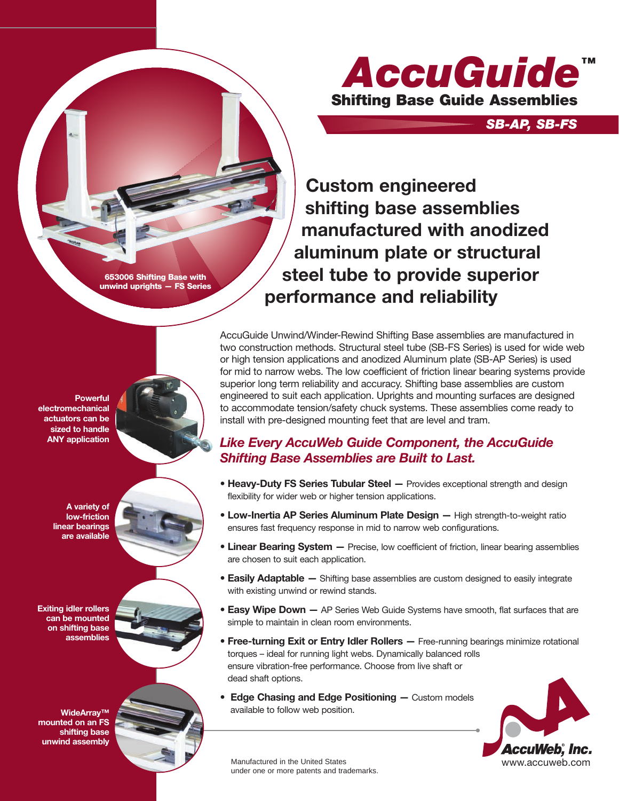

*SB-AP, SB-FS*

**Custom engineered shifting base assemblies manufactured with anodized aluminum plate or structural steel tube to provide superior performance and reliability**

**653006 Shifting Base with unwind uprights — FS Series**

**Powerful electromechanical actuators can be sized to handle ANY application**

> **A variety of low-friction linear bearings are available**

**Exiting idler rollers can be mounted on shifting base assemblies**

**WideArray™ mounted on an FS shifting base unwind assembly**



AccuGuide Unwind/Winder-Rewind Shifting Base assemblies are manufactured in two construction methods. Structural steel tube (SB-FS Series) is used for wide web or high tension applications and anodized Aluminum plate (SB-AP Series) is used for mid to narrow webs. The low coefficient of friction linear bearing systems provide superior long term reliability and accuracy. Shifting base assemblies are custom engineered to suit each application. Uprights and mounting surfaces are designed to accommodate tension/safety chuck systems. These assemblies come ready to install with pre-designed mounting feet that are level and tram.

#### *Like Every AccuWeb Guide Component, the AccuGuide Shifting Base Assemblies are Built to Last.*

- **Heavy-Duty FS Series Tubular Steel —** Provides exceptional strength and design flexibility for wider web or higher tension applications.
- **Low-Inertia AP Series Aluminum Plate Design —** High strength-to-weight ratio ensures fast frequency response in mid to narrow web configurations.
- **Linear Bearing System —** Precise, low coefficient of friction, linear bearing assemblies are chosen to suit each application.
- **Easily Adaptable —** Shifting base assemblies are custom designed to easily integrate with existing unwind or rewind stands.
- **Easy Wipe Down —** AP Series Web Guide Systems have smooth, flat surfaces that are simple to maintain in clean room environments.
- **Free-turning Exit or Entry Idler Rollers —** Free-running bearings minimize rotational torques – ideal for running light webs. Dynamically balanced rolls ensure vibration-free performance. Choose from live shaft or dead shaft options.
- **Edge Chasing and Edge Positioning —** Custom models available to follow web position.



Manufactured in the United States under one or more patents and trademarks.